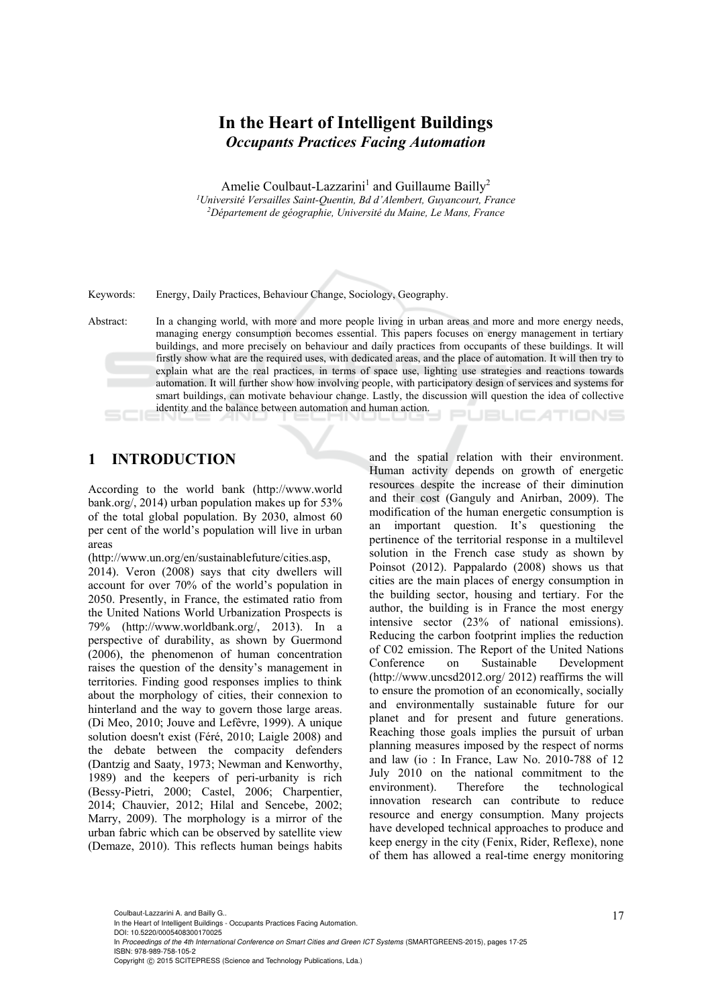# **In the Heart of Intelligent Buildings**  *Occupants Practices Facing Automation*

Amelie Coulbaut-Lazzarini<sup>1</sup> and Guillaume Bailly<sup>2</sup> *1Université Versailles Saint-Quentin, Bd d'Alembert, Guyancourt, France 2Département de géographie, Université du Maine, Le Mans, France* 

Keywords: Energy, Daily Practices, Behaviour Change, Sociology, Geography.

Abstract: In a changing world, with more and more people living in urban areas and more and more energy needs, managing energy consumption becomes essential. This papers focuses on energy management in tertiary buildings, and more precisely on behaviour and daily practices from occupants of these buildings. It will firstly show what are the required uses, with dedicated areas, and the place of automation. It will then try to explain what are the real practices, in terms of space use, lighting use strategies and reactions towards automation. It will further show how involving people, with participatory design of services and systems for smart buildings, can motivate behaviour change. Lastly, the discussion will question the idea of collective identity and the balance between automation and human action. JBLIC ATIONS

## **1 INTRODUCTION**

According to the world bank (http://www.world bank.org/, 2014) urban population makes up for 53% of the total global population. By 2030, almost 60 per cent of the world's population will live in urban areas

(http://www.un.org/en/sustainablefuture/cities.asp, 2014). Veron (2008) says that city dwellers will account for over 70% of the world's population in 2050. Presently, in France, the estimated ratio from

the United Nations World Urbanization Prospects is 79% (http://www.worldbank.org/, 2013). In a perspective of durability, as shown by Guermond (2006), the phenomenon of human concentration raises the question of the density's management in territories. Finding good responses implies to think about the morphology of cities, their connexion to hinterland and the way to govern those large areas. (Di Meo, 2010; Jouve and Lefêvre, 1999). A unique solution doesn't exist (Féré, 2010; Laigle 2008) and the debate between the compacity defenders (Dantzig and Saaty, 1973; Newman and Kenworthy, 1989) and the keepers of peri-urbanity is rich (Bessy-Pietri, 2000; Castel, 2006; Charpentier, 2014; Chauvier, 2012; Hilal and Sencebe, 2002; Marry, 2009). The morphology is a mirror of the urban fabric which can be observed by satellite view (Demaze, 2010). This reflects human beings habits

and the spatial relation with their environment. Human activity depends on growth of energetic resources despite the increase of their diminution and their cost (Ganguly and Anirban, 2009). The modification of the human energetic consumption is an important question. It's questioning the pertinence of the territorial response in a multilevel solution in the French case study as shown by Poinsot (2012). Pappalardo (2008) shows us that cities are the main places of energy consumption in the building sector, housing and tertiary. For the author, the building is in France the most energy intensive sector (23% of national emissions). Reducing the carbon footprint implies the reduction of C02 emission. The Report of the United Nations Conference on Sustainable Development (http://www.uncsd2012.org/ 2012) reaffirms the will to ensure the promotion of an economically, socially and environmentally sustainable future for our planet and for present and future generations. Reaching those goals implies the pursuit of urban planning measures imposed by the respect of norms and law (io : In France, Law No. 2010-788 of 12 July 2010 on the national commitment to the environment). Therefore the technological innovation research can contribute to reduce resource and energy consumption. Many projects have developed technical approaches to produce and keep energy in the city (Fenix, Rider, Reflexe), none of them has allowed a real-time energy monitoring

17 Coulbaut-Lazzarini A. and Bailly G.. In the Heart of Intelligent Buildings - Occupants Practices Facing Automation.

DOI: 10.5220/0005408300170025 In *Proceedings of the 4th International Conference on Smart Cities and Green ICT Systems* (SMARTGREENS-2015), pages 17-25 ISBN: 978-989-758-105-2

Copyright © 2015 SCITEPRESS (Science and Technology Publications, Lda.)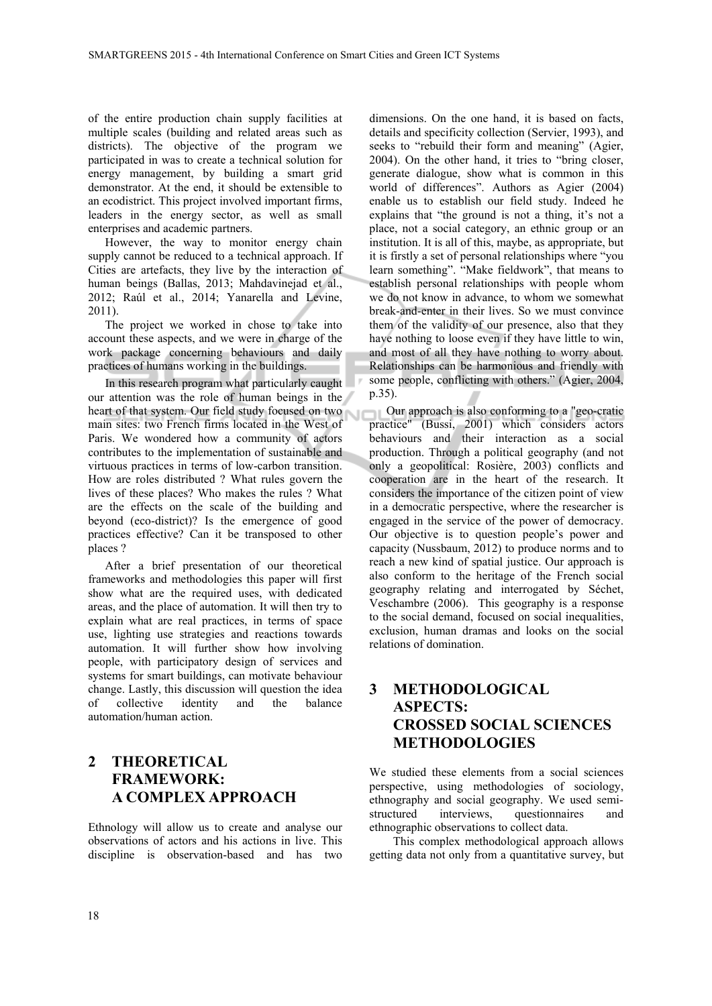of the entire production chain supply facilities at multiple scales (building and related areas such as districts). The objective of the program we participated in was to create a technical solution for energy management, by building a smart grid demonstrator. At the end, it should be extensible to an ecodistrict. This project involved important firms, leaders in the energy sector, as well as small enterprises and academic partners.

However, the way to monitor energy chain supply cannot be reduced to a technical approach. If Cities are artefacts, they live by the interaction of human beings (Ballas, 2013; Mahdavinejad et al., 2012; Raúl et al., 2014; Yanarella and Levine, 2011).

The project we worked in chose to take into account these aspects, and we were in charge of the work package concerning behaviours and daily practices of humans working in the buildings.

In this research program what particularly caught our attention was the role of human beings in the heart of that system. Our field study focused on two main sites: two French firms located in the West of Paris. We wondered how a community of actors contributes to the implementation of sustainable and virtuous practices in terms of low-carbon transition. How are roles distributed ? What rules govern the lives of these places? Who makes the rules ? What are the effects on the scale of the building and beyond (eco-district)? Is the emergence of good practices effective? Can it be transposed to other places ?

After a brief presentation of our theoretical frameworks and methodologies this paper will first show what are the required uses, with dedicated areas, and the place of automation. It will then try to explain what are real practices, in terms of space use, lighting use strategies and reactions towards automation. It will further show how involving people, with participatory design of services and systems for smart buildings, can motivate behaviour change. Lastly, this discussion will question the idea of collective identity and the balance automation/human action.

## **2 THEORETICAL FRAMEWORK: A COMPLEX APPROACH**

Ethnology will allow us to create and analyse our observations of actors and his actions in live. This discipline is observation-based and has two

dimensions. On the one hand, it is based on facts, details and specificity collection (Servier, 1993), and seeks to "rebuild their form and meaning" (Agier, 2004). On the other hand, it tries to "bring closer, generate dialogue, show what is common in this world of differences". Authors as Agier (2004) enable us to establish our field study. Indeed he explains that "the ground is not a thing, it's not a place, not a social category, an ethnic group or an institution. It is all of this, maybe, as appropriate, but it is firstly a set of personal relationships where "you learn something". "Make fieldwork", that means to establish personal relationships with people whom we do not know in advance, to whom we somewhat break-and-enter in their lives. So we must convince them of the validity of our presence, also that they have nothing to loose even if they have little to win, and most of all they have nothing to worry about. Relationships can be harmonious and friendly with some people, conflicting with others." (Agier, 2004, p.35).

Our approach is also conforming to a "geo-cratic practice" (Bussi, 2001) which considers actors behaviours and their interaction as a social production. Through a political geography (and not only a geopolitical: Rosière, 2003) conflicts and cooperation are in the heart of the research. It considers the importance of the citizen point of view in a democratic perspective, where the researcher is engaged in the service of the power of democracy. Our objective is to question people's power and capacity (Nussbaum, 2012) to produce norms and to reach a new kind of spatial justice. Our approach is also conform to the heritage of the French social geography relating and interrogated by Séchet, Veschambre (2006). This geography is a response to the social demand, focused on social inequalities, exclusion, human dramas and looks on the social relations of domination.

## **3 METHODOLOGICAL ASPECTS: CROSSED SOCIAL SCIENCES METHODOLOGIES**

We studied these elements from a social sciences perspective, using methodologies of sociology, ethnography and social geography. We used semistructured interviews, questionnaires and ethnographic observations to collect data.

This complex methodological approach allows getting data not only from a quantitative survey, but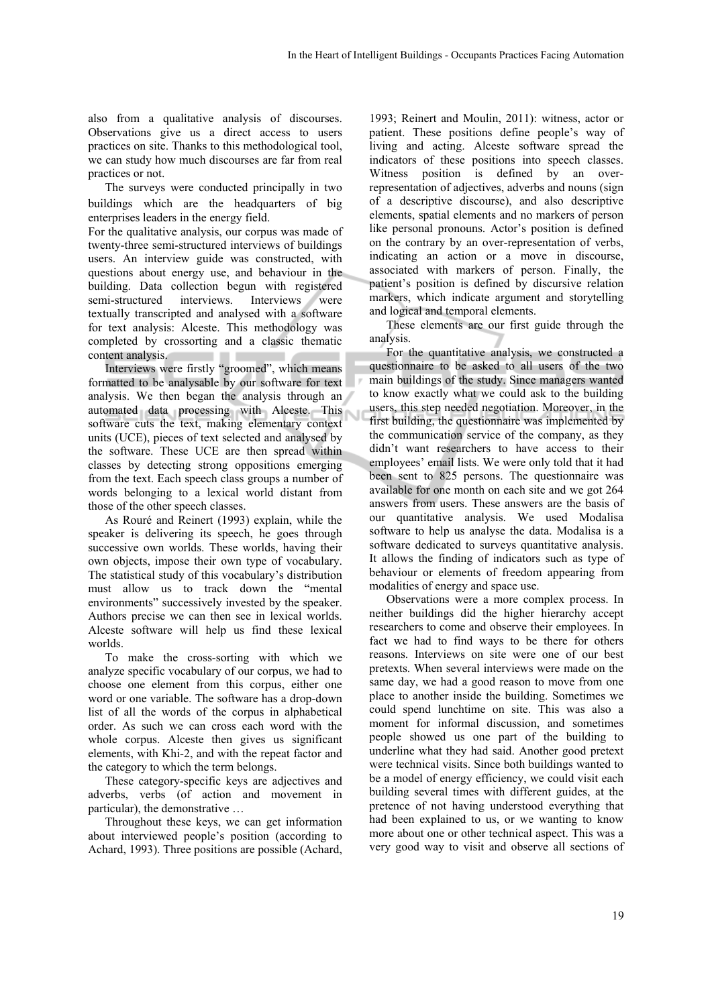also from a qualitative analysis of discourses. Observations give us a direct access to users practices on site. Thanks to this methodological tool, we can study how much discourses are far from real practices or not.

The surveys were conducted principally in two buildings which are the headquarters of big enterprises leaders in the energy field.

For the qualitative analysis, our corpus was made of twenty-three semi-structured interviews of buildings users. An interview guide was constructed, with questions about energy use, and behaviour in the building. Data collection begun with registered semi-structured interviews. Interviews were textually transcripted and analysed with a software for text analysis: Alceste. This methodology was completed by crossorting and a classic thematic content analysis. m

Interviews were firstly "groomed", which means formatted to be analysable by our software for text analysis. We then began the analysis through an automated data processing with Alceste. This software cuts the text, making elementary context units (UCE), pieces of text selected and analysed by the software. These UCE are then spread within classes by detecting strong oppositions emerging from the text. Each speech class groups a number of words belonging to a lexical world distant from those of the other speech classes.

As Rouré and Reinert (1993) explain, while the speaker is delivering its speech, he goes through successive own worlds. These worlds, having their own objects, impose their own type of vocabulary. The statistical study of this vocabulary's distribution must allow us to track down the "mental environments" successively invested by the speaker. Authors precise we can then see in lexical worlds. Alceste software will help us find these lexical worlds.

To make the cross-sorting with which we analyze specific vocabulary of our corpus, we had to choose one element from this corpus, either one word or one variable. The software has a drop-down list of all the words of the corpus in alphabetical order. As such we can cross each word with the whole corpus. Alceste then gives us significant elements, with Khi-2, and with the repeat factor and the category to which the term belongs.

These category-specific keys are adjectives and adverbs, verbs (of action and movement in particular), the demonstrative …

Throughout these keys, we can get information about interviewed people's position (according to Achard, 1993). Three positions are possible (Achard,

1993; Reinert and Moulin, 2011): witness, actor or patient. These positions define people's way of living and acting. Alceste software spread the indicators of these positions into speech classes. Witness position is defined by an overrepresentation of adjectives, adverbs and nouns (sign of a descriptive discourse), and also descriptive elements, spatial elements and no markers of person like personal pronouns. Actor's position is defined on the contrary by an over-representation of verbs, indicating an action or a move in discourse, associated with markers of person. Finally, the patient's position is defined by discursive relation markers, which indicate argument and storytelling and logical and temporal elements.

These elements are our first guide through the analysis.

For the quantitative analysis, we constructed a questionnaire to be asked to all users of the two main buildings of the study. Since managers wanted to know exactly what we could ask to the building users, this step needed negotiation. Moreover, in the first building, the questionnaire was implemented by the communication service of the company, as they didn't want researchers to have access to their employees' email lists. We were only told that it had been sent to 825 persons. The questionnaire was available for one month on each site and we got 264 answers from users. These answers are the basis of our quantitative analysis. We used Modalisa software to help us analyse the data. Modalisa is a software dedicated to surveys quantitative analysis. It allows the finding of indicators such as type of behaviour or elements of freedom appearing from modalities of energy and space use.

Observations were a more complex process. In neither buildings did the higher hierarchy accept researchers to come and observe their employees. In fact we had to find ways to be there for others reasons. Interviews on site were one of our best pretexts. When several interviews were made on the same day, we had a good reason to move from one place to another inside the building. Sometimes we could spend lunchtime on site. This was also a moment for informal discussion, and sometimes people showed us one part of the building to underline what they had said. Another good pretext were technical visits. Since both buildings wanted to be a model of energy efficiency, we could visit each building several times with different guides, at the pretence of not having understood everything that had been explained to us, or we wanting to know more about one or other technical aspect. This was a very good way to visit and observe all sections of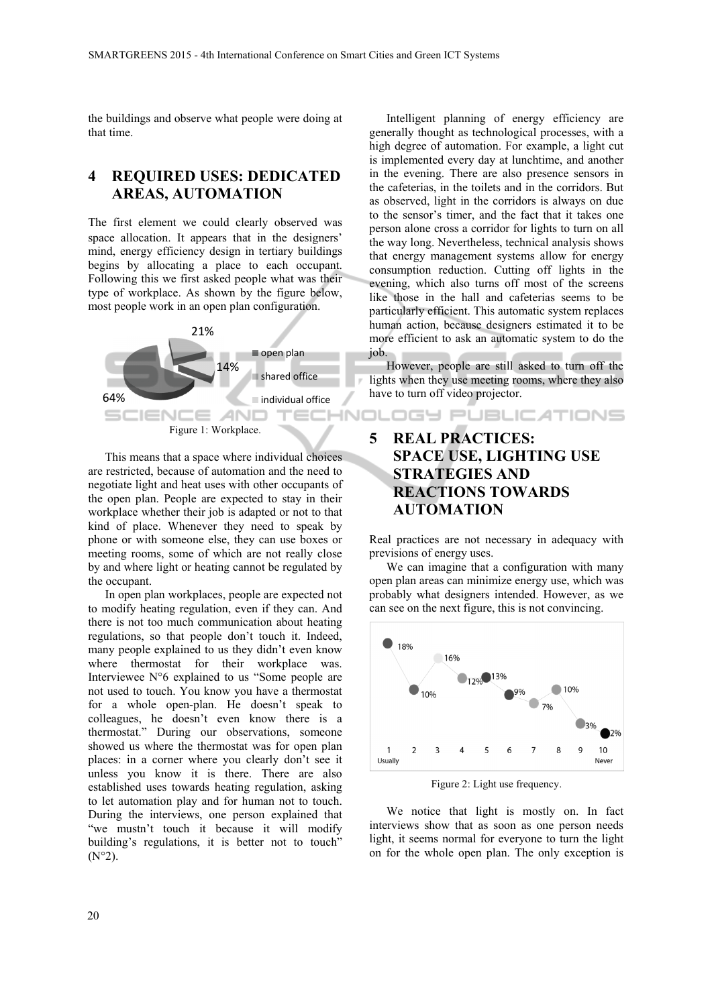the buildings and observe what people were doing at that time.

#### **4 REQUIRED USES: DEDICATED AREAS, AUTOMATION**

The first element we could clearly observed was space allocation. It appears that in the designers' mind, energy efficiency design in tertiary buildings begins by allocating a place to each occupant. Following this we first asked people what was their type of workplace. As shown by the figure below, most people work in an open plan configuration.



This means that a space where individual choices are restricted, because of automation and the need to negotiate light and heat uses with other occupants of the open plan. People are expected to stay in their workplace whether their job is adapted or not to that kind of place. Whenever they need to speak by phone or with someone else, they can use boxes or meeting rooms, some of which are not really close by and where light or heating cannot be regulated by the occupant.

In open plan workplaces, people are expected not to modify heating regulation, even if they can. And there is not too much communication about heating regulations, so that people don't touch it. Indeed, many people explained to us they didn't even know where thermostat for their workplace was. Interviewee N°6 explained to us "Some people are not used to touch. You know you have a thermostat for a whole open-plan. He doesn't speak to colleagues, he doesn't even know there is a thermostat." During our observations, someone showed us where the thermostat was for open plan places: in a corner where you clearly don't see it unless you know it is there. There are also established uses towards heating regulation, asking to let automation play and for human not to touch. During the interviews, one person explained that "we mustn't touch it because it will modify building's regulations, it is better not to touch"  $(N°2)$ .

Intelligent planning of energy efficiency are generally thought as technological processes, with a high degree of automation. For example, a light cut is implemented every day at lunchtime, and another in the evening. There are also presence sensors in the cafeterias, in the toilets and in the corridors. But as observed, light in the corridors is always on due to the sensor's timer, and the fact that it takes one person alone cross a corridor for lights to turn on all the way long. Nevertheless, technical analysis shows that energy management systems allow for energy consumption reduction. Cutting off lights in the evening, which also turns off most of the screens like those in the hall and cafeterias seems to be particularly efficient. This automatic system replaces human action, because designers estimated it to be more efficient to ask an automatic system to do the job.

However, people are still asked to turn off the lights when they use meeting rooms, where they also have to turn off video projector.

## **5 REAL PRACTICES: SPACE USE, LIGHTING USE STRATEGIES AND REACTIONS TOWARDS AUTOMATION**

Real practices are not necessary in adequacy with previsions of energy uses.

We can imagine that a configuration with many open plan areas can minimize energy use, which was probably what designers intended. However, as we can see on the next figure, this is not convincing.



Figure 2: Light use frequency.

We notice that light is mostly on. In fact interviews show that as soon as one person needs light, it seems normal for everyone to turn the light on for the whole open plan. The only exception is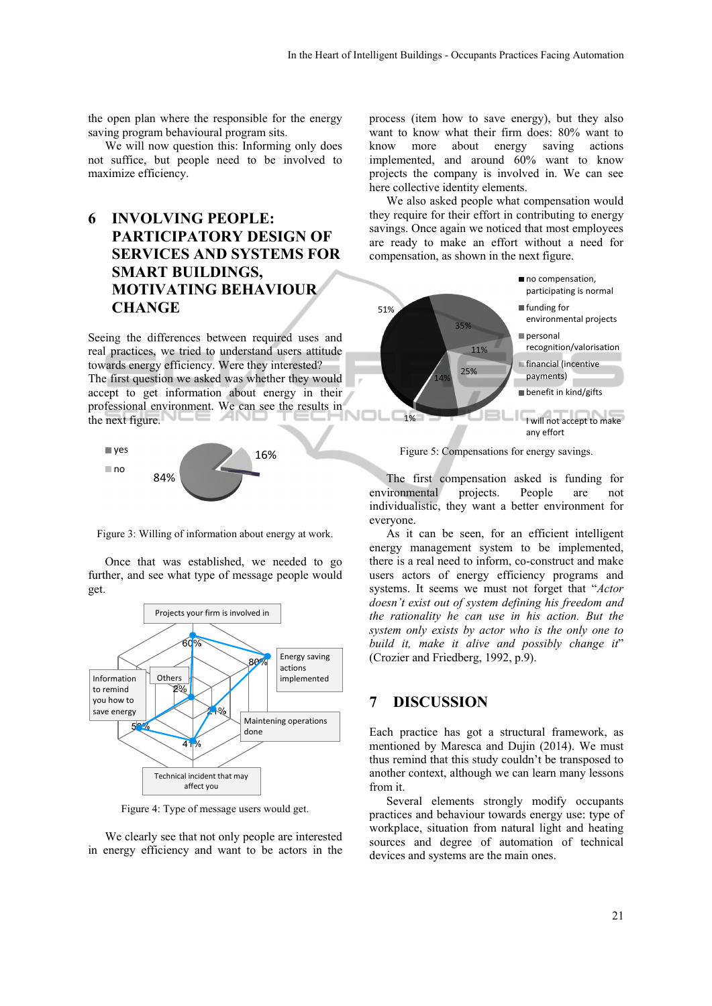the open plan where the responsible for the energy saving program behavioural program sits.

We will now question this: Informing only does not suffice, but people need to be involved to maximize efficiency.

## **6 INVOLVING PEOPLE: PARTICIPATORY DESIGN OF SERVICES AND SYSTEMS FOR SMART BUILDINGS, MOTIVATING BEHAVIOUR CHANGE**

Seeing the differences between required uses and real practices, we tried to understand users attitude towards energy efficiency. Were they interested? The first question we asked was whether they would accept to get information about energy in their professional environment. We can see the results in the next figure.



Figure 3: Willing of information about energy at work.

Once that was established, we needed to go further, and see what type of message people would get.



Figure 4: Type of message users would get.

We clearly see that not only people are interested in energy efficiency and want to be actors in the process (item how to save energy), but they also want to know what their firm does: 80% want to know more about energy saving actions implemented, and around 60% want to know projects the company is involved in. We can see here collective identity elements.

We also asked people what compensation would they require for their effort in contributing to energy savings. Once again we noticed that most employees are ready to make an effort without a need for compensation, as shown in the next figure.



Figure 5: Compensations for energy savings.

The first compensation asked is funding for environmental projects. People are not individualistic, they want a better environment for everyone.

As it can be seen, for an efficient intelligent energy management system to be implemented, there is a real need to inform, co-construct and make users actors of energy efficiency programs and systems. It seems we must not forget that "*Actor doesn't exist out of system defining his freedom and the rationality he can use in his action. But the system only exists by actor who is the only one to build it, make it alive and possibly change it*" (Crozier and Friedberg, 1992, p.9).

#### **7 DISCUSSION**

Each practice has got a structural framework, as mentioned by Maresca and Dujin (2014). We must thus remind that this study couldn't be transposed to another context, although we can learn many lessons from it.

Several elements strongly modify occupants practices and behaviour towards energy use: type of workplace, situation from natural light and heating sources and degree of automation of technical devices and systems are the main ones.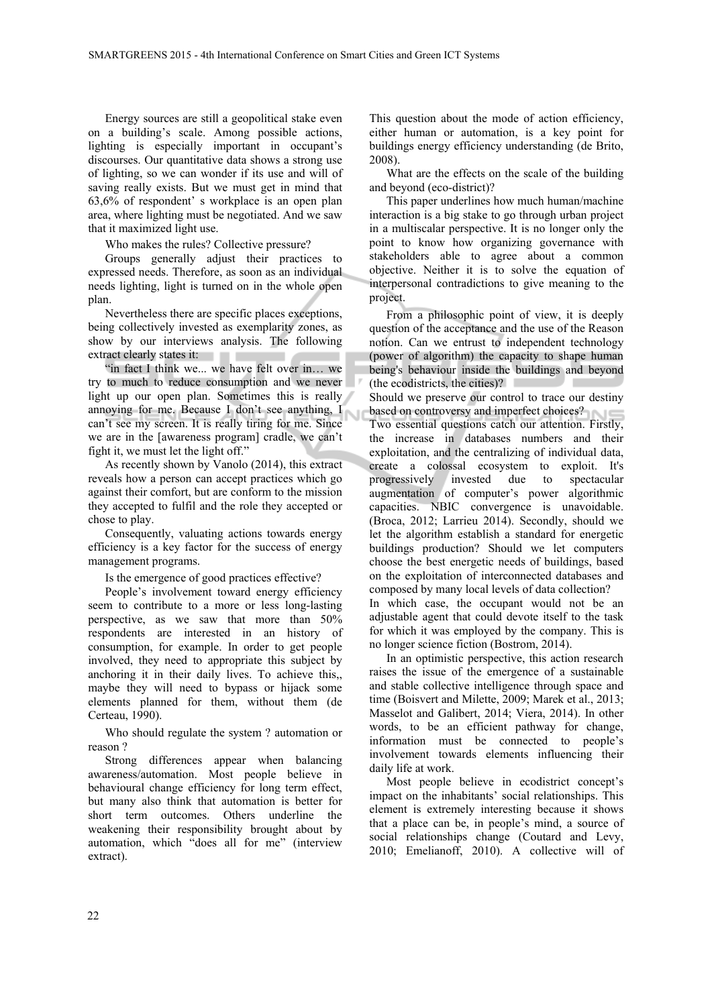Energy sources are still a geopolitical stake even on a building's scale. Among possible actions, lighting is especially important in occupant's discourses. Our quantitative data shows a strong use of lighting, so we can wonder if its use and will of saving really exists. But we must get in mind that 63,6% of respondent' s workplace is an open plan area, where lighting must be negotiated. And we saw that it maximized light use.

Who makes the rules? Collective pressure?

Groups generally adjust their practices to expressed needs. Therefore, as soon as an individual needs lighting, light is turned on in the whole open plan.

Nevertheless there are specific places exceptions, being collectively invested as exemplarity zones, as show by our interviews analysis. The following extract clearly states it:

"in fact I think we... we have felt over in… we try to much to reduce consumption and we never light up our open plan. Sometimes this is really annoying for me. Because I don't see anything, I can't see my screen. It is really tiring for me. Since we are in the [awareness program] cradle, we can't fight it, we must let the light off."

As recently shown by Vanolo (2014), this extract reveals how a person can accept practices which go against their comfort, but are conform to the mission they accepted to fulfil and the role they accepted or chose to play.

Consequently, valuating actions towards energy efficiency is a key factor for the success of energy management programs.

Is the emergence of good practices effective?

People's involvement toward energy efficiency seem to contribute to a more or less long-lasting perspective, as we saw that more than 50% respondents are interested in an history of consumption, for example. In order to get people involved, they need to appropriate this subject by anchoring it in their daily lives. To achieve this,, maybe they will need to bypass or hijack some elements planned for them, without them (de Certeau, 1990).

Who should regulate the system ? automation or reason ?

Strong differences appear when balancing awareness/automation. Most people believe in behavioural change efficiency for long term effect, but many also think that automation is better for short term outcomes. Others underline the weakening their responsibility brought about by automation, which "does all for me" (interview extract).

This question about the mode of action efficiency, either human or automation, is a key point for buildings energy efficiency understanding (de Brito, 2008).

What are the effects on the scale of the building and beyond (eco-district)?

This paper underlines how much human/machine interaction is a big stake to go through urban project in a multiscalar perspective. It is no longer only the point to know how organizing governance with stakeholders able to agree about a common objective. Neither it is to solve the equation of interpersonal contradictions to give meaning to the project.

From a philosophic point of view, it is deeply question of the acceptance and the use of the Reason notion. Can we entrust to independent technology (power of algorithm) the capacity to shape human being's behaviour inside the buildings and beyond (the ecodistricts, the cities)?

Should we preserve our control to trace our destiny based on controversy and imperfect choices? Two essential questions catch our attention. Firstly, the increase in databases numbers and their exploitation, and the centralizing of individual data, create a colossal ecosystem to exploit. It's progressively invested due to spectacular augmentation of computer's power algorithmic capacities. NBIC convergence is unavoidable. (Broca, 2012; Larrieu 2014). Secondly, should we let the algorithm establish a standard for energetic buildings production? Should we let computers choose the best energetic needs of buildings, based on the exploitation of interconnected databases and composed by many local levels of data collection? In which case, the occupant would not be an adjustable agent that could devote itself to the task for which it was employed by the company. This is no longer science fiction (Bostrom, 2014).

In an optimistic perspective, this action research raises the issue of the emergence of a sustainable and stable collective intelligence through space and time (Boisvert and Milette, 2009; Marek et al., 2013; Masselot and Galibert, 2014; Viera, 2014). In other words, to be an efficient pathway for change, information must be connected to people's involvement towards elements influencing their daily life at work.

Most people believe in ecodistrict concept's impact on the inhabitants' social relationships. This element is extremely interesting because it shows that a place can be, in people's mind, a source of social relationships change (Coutard and Levy, 2010; Emelianoff, 2010). A collective will of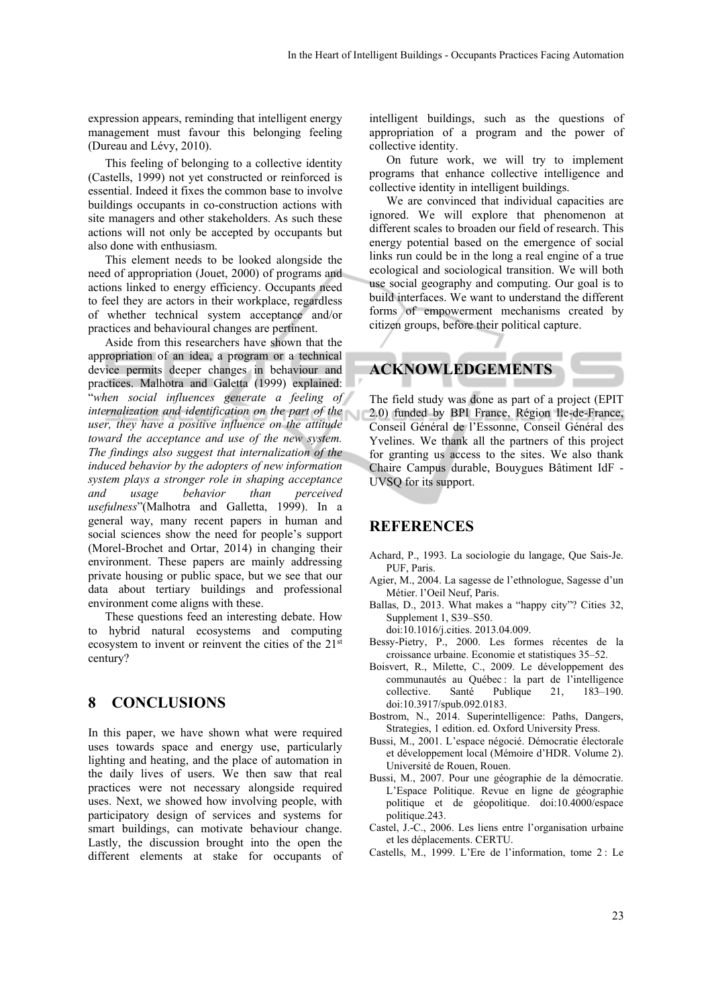expression appears, reminding that intelligent energy management must favour this belonging feeling (Dureau and Lévy, 2010).

This feeling of belonging to a collective identity (Castells, 1999) not yet constructed or reinforced is essential. Indeed it fixes the common base to involve buildings occupants in co-construction actions with site managers and other stakeholders. As such these actions will not only be accepted by occupants but also done with enthusiasm.

This element needs to be looked alongside the need of appropriation (Jouet, 2000) of programs and actions linked to energy efficiency. Occupants need to feel they are actors in their workplace, regardless of whether technical system acceptance and/or practices and behavioural changes are pertinent.

Aside from this researchers have shown that the appropriation of an idea, a program or a technical device permits deeper changes in behaviour and practices. Malhotra and Galetta (1999) explained: "*when social influences generate a feeling of internalization and identification on the part of the user, they have a positive influence on the attitude toward the acceptance and use of the new system. The findings also suggest that internalization of the induced behavior by the adopters of new information system plays a stronger role in shaping acceptance and usage behavior than perceived usefulness*"(Malhotra and Galletta, 1999). In a general way, many recent papers in human and social sciences show the need for people's support (Morel-Brochet and Ortar, 2014) in changing their environment. These papers are mainly addressing private housing or public space, but we see that our data about tertiary buildings and professional environment come aligns with these.

These questions feed an interesting debate. How to hybrid natural ecosystems and computing ecosystem to invent or reinvent the cities of the 21st century?

#### **8 CONCLUSIONS**

In this paper, we have shown what were required uses towards space and energy use, particularly lighting and heating, and the place of automation in the daily lives of users. We then saw that real practices were not necessary alongside required uses. Next, we showed how involving people, with participatory design of services and systems for smart buildings, can motivate behaviour change. Lastly, the discussion brought into the open the different elements at stake for occupants of

intelligent buildings, such as the questions of appropriation of a program and the power of collective identity.

On future work, we will try to implement programs that enhance collective intelligence and collective identity in intelligent buildings.

We are convinced that individual capacities are ignored. We will explore that phenomenon at different scales to broaden our field of research. This energy potential based on the emergence of social links run could be in the long a real engine of a true ecological and sociological transition. We will both use social geography and computing. Our goal is to build interfaces. We want to understand the different forms of empowerment mechanisms created by citizen groups, before their political capture.

#### **ACKNOWLEDGEMENTS**

The field study was done as part of a project (EPIT 2.0) funded by BPI France, Région Ile-de-France, Conseil Général de l'Essonne, Conseil Général des Yvelines. We thank all the partners of this project for granting us access to the sites. We also thank Chaire Campus durable, Bouygues Bâtiment IdF - UVSQ for its support.

#### **REFERENCES**

- Achard, P., 1993. La sociologie du langage, Que Sais-Je. PUF, Paris.
- Agier, M., 2004. La sagesse de l'ethnologue, Sagesse d'un Métier. l'Oeil Neuf, Paris.
- Ballas, D., 2013. What makes a "happy city"? Cities 32, Supplement 1, S39–S50.
	- doi:10.1016/j.cities. 2013.04.009.
- Bessy-Pietry, P., 2000. Les formes récentes de la croissance urbaine. Economie et statistiques 35–52.
- Boisvert, R., Milette, C., 2009. Le développement des communautés au Québec : la part de l'intelligence collective. Santé Publique 21, 183–190. doi:10.3917/spub.092.0183.
- Bostrom, N., 2014. Superintelligence: Paths, Dangers, Strategies, 1 edition. ed. Oxford University Press.
- Bussi, M., 2001. L'espace négocié. Démocratie électorale et développement local (Mémoire d'HDR. Volume 2). Université de Rouen, Rouen.
- Bussi, M., 2007. Pour une géographie de la démocratie. L'Espace Politique. Revue en ligne de géographie politique et de géopolitique. doi:10.4000/espace politique.243.
- Castel, J.-C., 2006. Les liens entre l'organisation urbaine et les déplacements. CERTU.
- Castells, M., 1999. L'Ere de l'information, tome 2 : Le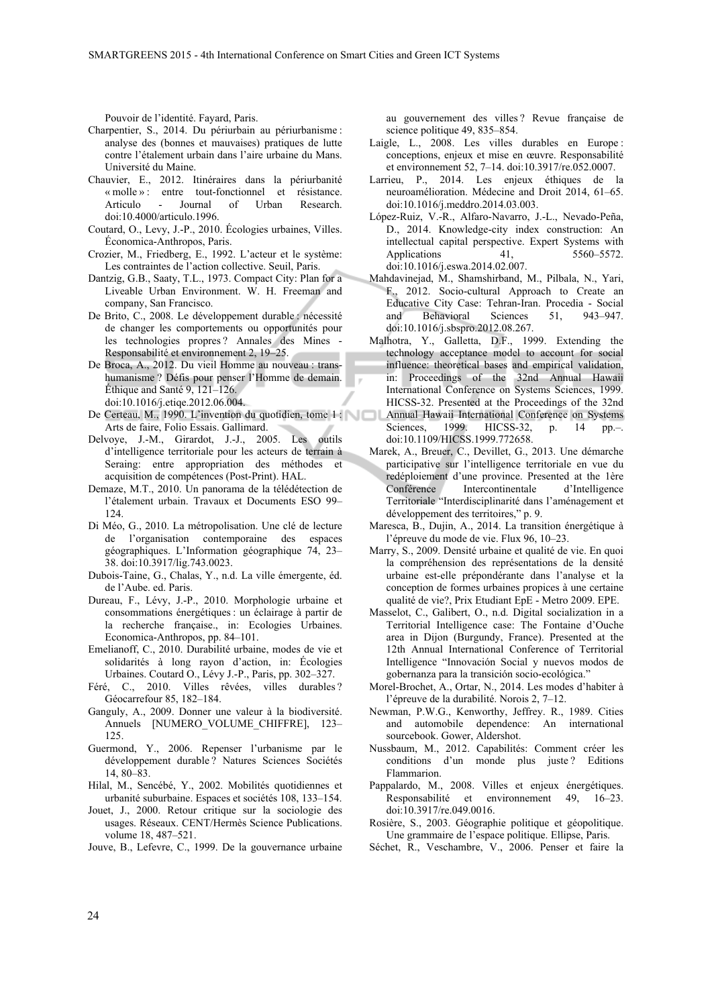Pouvoir de l'identité. Fayard, Paris.

- Charpentier, S., 2014. Du périurbain au périurbanisme : analyse des (bonnes et mauvaises) pratiques de lutte contre l'étalement urbain dans l'aire urbaine du Mans. Université du Maine.
- Chauvier, E., 2012. Itinéraires dans la périurbanité « molle » : entre tout-fonctionnel et résistance.<br>Articulo - Journal of Urban Research. Articulo - Journal of Urban Research. doi:10.4000/articulo.1996.
- Coutard, O., Levy, J.-P., 2010. Écologies urbaines, Villes. Économica-Anthropos, Paris.
- Crozier, M., Friedberg, E., 1992. L'acteur et le système: Les contraintes de l'action collective. Seuil, Paris.
- Dantzig, G.B., Saaty, T.L., 1973. Compact City: Plan for a Liveable Urban Environment. W. H. Freeman and company, San Francisco.
- De Brito, C., 2008. Le développement durable : nécessité de changer les comportements ou opportunités pour les technologies propres ? Annales des Mines - Responsabilité et environnement 2, 19–25.
- De Broca, A., 2012. Du vieil Homme au nouveau : transhumanisme ? Défis pour penser l'Homme de demain. Éthique and Santé 9, 121–126. doi:10.1016/j.etiqe.2012.06.004.
- De Certeau, M., 1990. L'invention du quotidien, tome 1 : Arts de faire, Folio Essais. Gallimard.
- Delvoye, J.-M., Girardot, J.-J., 2005. Les outils d'intelligence territoriale pour les acteurs de terrain à Seraing: entre appropriation des méthodes et acquisition de compétences (Post-Print). HAL.
- Demaze, M.T., 2010. Un panorama de la télédétection de l'étalement urbain. Travaux et Documents ESO 99– 124.
- Di Méo, G., 2010. La métropolisation. Une clé de lecture de l'organisation contemporaine des espaces géographiques. L'Information géographique 74, 23– 38. doi:10.3917/lig.743.0023.
- Dubois-Taine, G., Chalas, Y., n.d. La ville émergente, éd. de l'Aube. ed. Paris.
- Dureau, F., Lévy, J.-P., 2010. Morphologie urbaine et consommations énergétiques : un éclairage à partir de la recherche française., in: Ecologies Urbaines. Economica-Anthropos, pp. 84–101.
- Emelianoff, C., 2010. Durabilité urbaine, modes de vie et solidarités à long rayon d'action, in: Écologies Urbaines. Coutard O., Lévy J.-P., Paris, pp. 302–327.
- Féré, C., 2010. Villes rêvées, villes durables ? Géocarrefour 85, 182–184.
- Ganguly, A., 2009. Donner une valeur à la biodiversité. Annuels [NUMERO\_VOLUME\_CHIFFRE], 123-125.
- Guermond, Y., 2006. Repenser l'urbanisme par le développement durable ? Natures Sciences Sociétés 14, 80–83.
- Hilal, M., Sencébé, Y., 2002. Mobilités quotidiennes et urbanité suburbaine. Espaces et sociétés 108, 133–154.
- Jouet, J., 2000. Retour critique sur la sociologie des usages. Réseaux. CENT/Hermès Science Publications. volume 18, 487–521.
- Jouve, B., Lefevre, C., 1999. De la gouvernance urbaine

au gouvernement des villes ? Revue française de science politique 49, 835–854.

- Laigle, L., 2008. Les villes durables en Europe : conceptions, enjeux et mise en œuvre. Responsabilité et environnement 52, 7–14. doi:10.3917/re.052.0007.
- Larrieu, P., 2014. Les enjeux éthiques de la neuroamélioration. Médecine and Droit 2014, 61–65. doi:10.1016/j.meddro.2014.03.003.
- López-Ruiz, V.-R., Alfaro-Navarro, J.-L., Nevado-Peña, D., 2014. Knowledge-city index construction: An intellectual capital perspective. Expert Systems with Applications 41, 5560–5572. doi:10.1016/j.eswa.2014.02.007.
- Mahdavinejad, M., Shamshirband, M., Pilbala, N., Yari, F., 2012. Socio-cultural Approach to Create an Educative City Case: Tehran-Iran. Procedia - Social and Behavioral Sciences 51, 943–947. doi:10.1016/j.sbspro.2012.08.267.
- Malhotra, Y., Galletta, D.F., 1999. Extending the technology acceptance model to account for social influence: theoretical bases and empirical validation, in: Proceedings of the 32nd Annual Hawaii International Conference on Systems Sciences, 1999. HICSS-32. Presented at the Proceedings of the 32nd Annual Hawaii International Conference on Systems
- Sciences, 1999. HICSS-32, p. 14 pp.-. doi:10.1109/HICSS.1999.772658.
- Marek, A., Breuer, C., Devillet, G., 2013. Une démarche participative sur l'intelligence territoriale en vue du redéploiement d'une province. Presented at the 1ère Conférence Intercontinentale d'Intelligence Territoriale "Interdisciplinarité dans l'aménagement et développement des territoires," p. 9.
- Maresca, B., Dujin, A., 2014. La transition énergétique à l'épreuve du mode de vie. Flux 96, 10–23.
- Marry, S., 2009. Densité urbaine et qualité de vie. En quoi la compréhension des représentations de la densité urbaine est-elle prépondérante dans l'analyse et la conception de formes urbaines propices à une certaine qualité de vie?, Prix Etudiant EpE - Metro 2009. EPE.
- Masselot, C., Galibert, O., n.d. Digital socialization in a Territorial Intelligence case: The Fontaine d'Ouche area in Dijon (Burgundy, France). Presented at the 12th Annual International Conference of Territorial Intelligence "Innovación Social y nuevos modos de gobernanza para la transición socio-ecológica."
- Morel-Brochet, A., Ortar, N., 2014. Les modes d'habiter à l'épreuve de la durabilité. Norois 2, 7–12.
- Newman, P.W.G., Kenworthy, Jeffrey. R., 1989. Cities and automobile dependence: An international sourcebook. Gower, Aldershot.
- Nussbaum, M., 2012. Capabilités: Comment créer les conditions d'un monde plus juste ? Editions Flammarion.
- Pappalardo, M., 2008. Villes et enjeux énergétiques. Responsabilité et environnement 49, 16–23. doi:10.3917/re.049.0016.
- Rosière, S., 2003. Géographie politique et géopolitique. Une grammaire de l'espace politique. Ellipse, Paris.
- Séchet, R., Veschambre, V., 2006. Penser et faire la